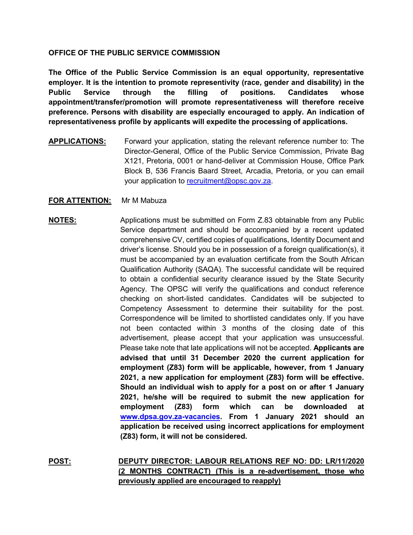### **OFFICE OF THE PUBLIC SERVICE COMMISSION**

**The Office of the Public Service Commission is an equal opportunity, representative employer. It is the intention to promote representivity (race, gender and disability) in the Public Service through the filling of positions. Candidates whose appointment/transfer/promotion will promote representativeness will therefore receive preference. Persons with disability are especially encouraged to apply. An indication of representativeness profile by applicants will expedite the processing of applications.**

**APPLICATIONS:** Forward your application, stating the relevant reference number to: The Director-General, Office of the Public Service Commission, Private Bag X121, Pretoria, 0001 or hand-deliver at Commission House, Office Park Block B, 536 Francis Baard Street, Arcadia, Pretoria, or you can email your application to [recruitment@opsc.gov.za.](mailto:recruitment@opsc.gov.za)

### **FOR ATTENTION:** Mr M Mabuza

# **NOTES:** Applications must be submitted on Form Z.83 obtainable from any Public Service department and should be accompanied by a recent updated comprehensive CV, certified copies of qualifications, Identity Document and driver's license. Should you be in possession of a foreign qualification(s), it must be accompanied by an evaluation certificate from the South African Qualification Authority (SAQA). The successful candidate will be required to obtain a confidential security clearance issued by the State Security Agency. The OPSC will verify the qualifications and conduct reference checking on short-listed candidates. Candidates will be subjected to Competency Assessment to determine their suitability for the post. Correspondence will be limited to shortlisted candidates only. If you have not been contacted within 3 months of the closing date of this advertisement, please accept that your application was unsuccessful. Please take note that late applications will not be accepted. **Applicants are advised that until 31 December 2020 the current application for employment (Z83) form will be applicable, however, from 1 January 2021, a new application for employment (Z83) form will be effective. Should an individual wish to apply for a post on or after 1 January 2021, he/she will be required to submit the new application for employment (Z83) form which can be downloaded at [www.dpsa.gov.za-vacancies.](http://www.dpsa.gov.za-vacancies/) From 1 January 2021 should an application be received using incorrect applications for employment (Z83) form, it will not be considered.**

**POST: DEPUTY DIRECTOR: LABOUR RELATIONS REF NO: DD: LR/11/2020 (2 MONTHS CONTRACT) (This is a re-advertisement, those who previously applied are encouraged to reapply)**